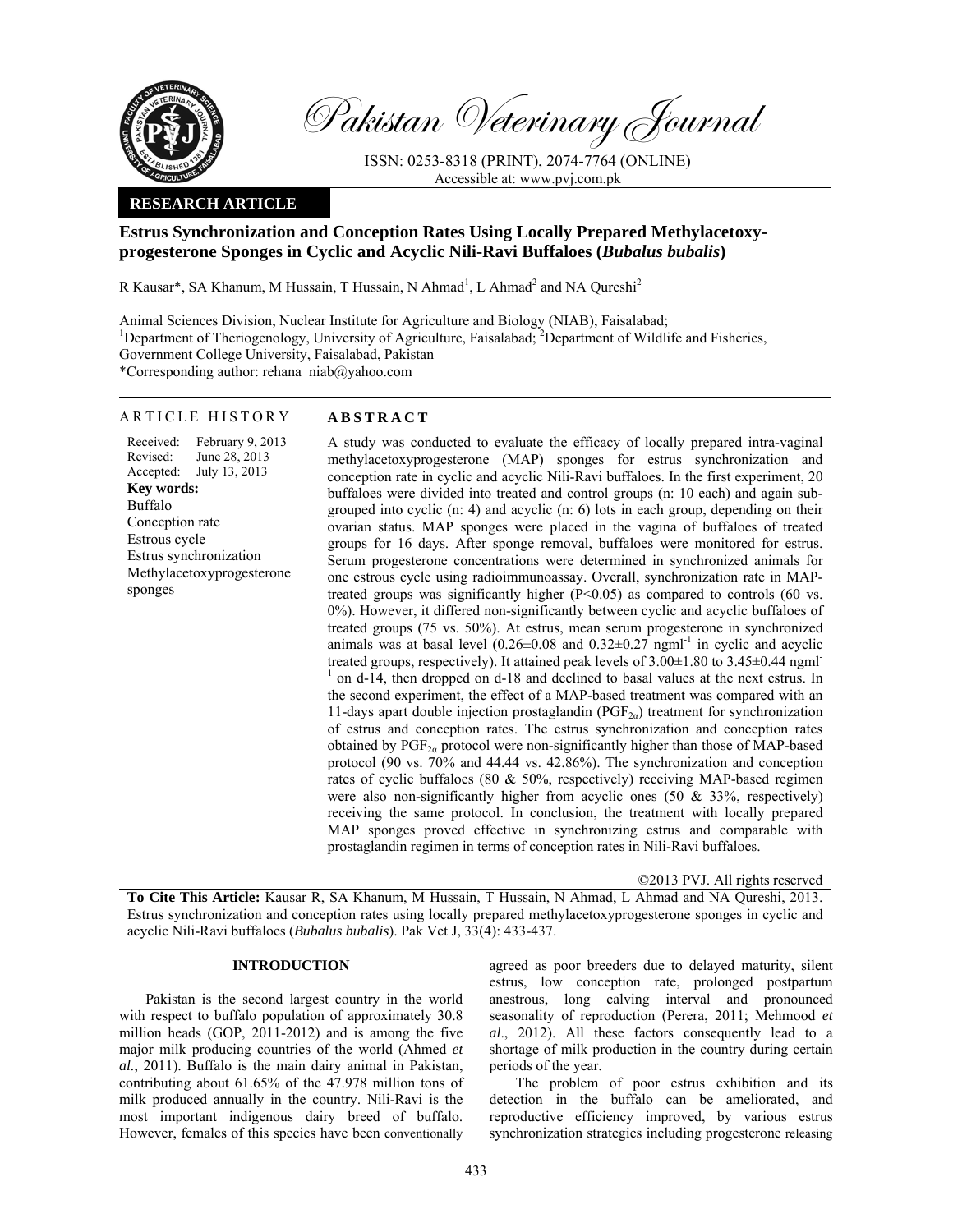

Pakistan Veterinary Journal

ISSN: 0253-8318 (PRINT), 2074-7764 (ONLINE) Accessible at: www.pvj.com.pk

## **RESEARCH ARTICLE**

# **Estrus Synchronization and Conception Rates Using Locally Prepared Methylacetoxyprogesterone Sponges in Cyclic and Acyclic Nili-Ravi Buffaloes (***Bubalus bubalis***)**

R Kausar\*, SA Khanum, M Hussain, T Hussain, N Ahmad<sup>1</sup>, L Ahmad<sup>2</sup> and NA Qureshi<sup>2</sup>

Animal Sciences Division, Nuclear Institute for Agriculture and Biology (NIAB), Faisalabad;

<sup>1</sup>Department of Theriogenology, University of Agriculture, Faisalabad; <sup>2</sup>Department of Wildlife and Fisheries,

Government College University, Faisalabad, Pakistan

\*Corresponding author: rehana\_niab@yahoo.com

## ARTICLE HISTORY **ABSTRACT**

Received: Revised: Accepted: February 9, 2013 June 28, 2013 July 13, 2013 **Key words:**  Buffalo Conception rate Estrous cycle Estrus synchronization Methylacetoxyprogesterone sponges

 A study was conducted to evaluate the efficacy of locally prepared intra-vaginal methylacetoxyprogesterone (MAP) sponges for estrus synchronization and conception rate in cyclic and acyclic Nili-Ravi buffaloes. In the first experiment, 20 buffaloes were divided into treated and control groups (n: 10 each) and again subgrouped into cyclic (n: 4) and acyclic (n: 6) lots in each group, depending on their ovarian status. MAP sponges were placed in the vagina of buffaloes of treated groups for 16 days. After sponge removal, buffaloes were monitored for estrus. Serum progesterone concentrations were determined in synchronized animals for one estrous cycle using radioimmunoassay. Overall, synchronization rate in MAPtreated groups was significantly higher (P<0.05) as compared to controls (60 vs. 0%). However, it differed non-significantly between cyclic and acyclic buffaloes of treated groups (75 vs. 50%). At estrus, mean serum progesterone in synchronized animals was at basal level  $(0.26 \pm 0.08$  and  $0.32 \pm 0.27$  ngml<sup>-1</sup> in cyclic and acyclic treated groups, respectively). It attained peak levels of  $3.00\pm1.80$  to  $3.45\pm0.44$  ngml <sup>1</sup> on d-14, then dropped on d-18 and declined to basal values at the next estrus. In the second experiment, the effect of a MAP-based treatment was compared with an 11-days apart double injection prostaglandin ( $PGF_{2\alpha}$ ) treatment for synchronization of estrus and conception rates. The estrus synchronization and conception rates obtained by  $PGF_{2\alpha}$  protocol were non-significantly higher than those of MAP-based protocol (90 vs. 70% and 44.44 vs. 42.86%). The synchronization and conception rates of cyclic buffaloes (80 & 50%, respectively) receiving MAP-based regimen were also non-significantly higher from acyclic ones  $(50 \& 33\%$ , respectively) receiving the same protocol. In conclusion, the treatment with locally prepared MAP sponges proved effective in synchronizing estrus and comparable with prostaglandin regimen in terms of conception rates in Nili-Ravi buffaloes.

©2013 PVJ. All rights reserved

**To Cite This Article:** Kausar R, SA Khanum, M Hussain, T Hussain, N Ahmad, L Ahmad and NA Qureshi, 2013. Estrus synchronization and conception rates using locally prepared methylacetoxyprogesterone sponges in cyclic and acyclic Nili-Ravi buffaloes (*Bubalus bubalis*). Pak Vet J, 33(4): 433-437.

## **INTRODUCTION**

Pakistan is the second largest country in the world with respect to buffalo population of approximately 30.8 million heads (GOP, 2011-2012) and is among the five major milk producing countries of the world (Ahmed *et al.*, 2011). Buffalo is the main dairy animal in Pakistan, contributing about 61.65% of the 47.978 million tons of milk produced annually in the country. Nili-Ravi is the most important indigenous dairy breed of buffalo. However, females of this species have been conventionally

agreed as poor breeders due to delayed maturity, silent estrus, low conception rate, prolonged postpartum anestrous, long calving interval and pronounced seasonality of reproduction (Perera, 2011; Mehmood *et al*., 2012). All these factors consequently lead to a shortage of milk production in the country during certain periods of the year.

The problem of poor estrus exhibition and its detection in the buffalo can be ameliorated, and reproductive efficiency improved, by various estrus synchronization strategies including progesterone releasing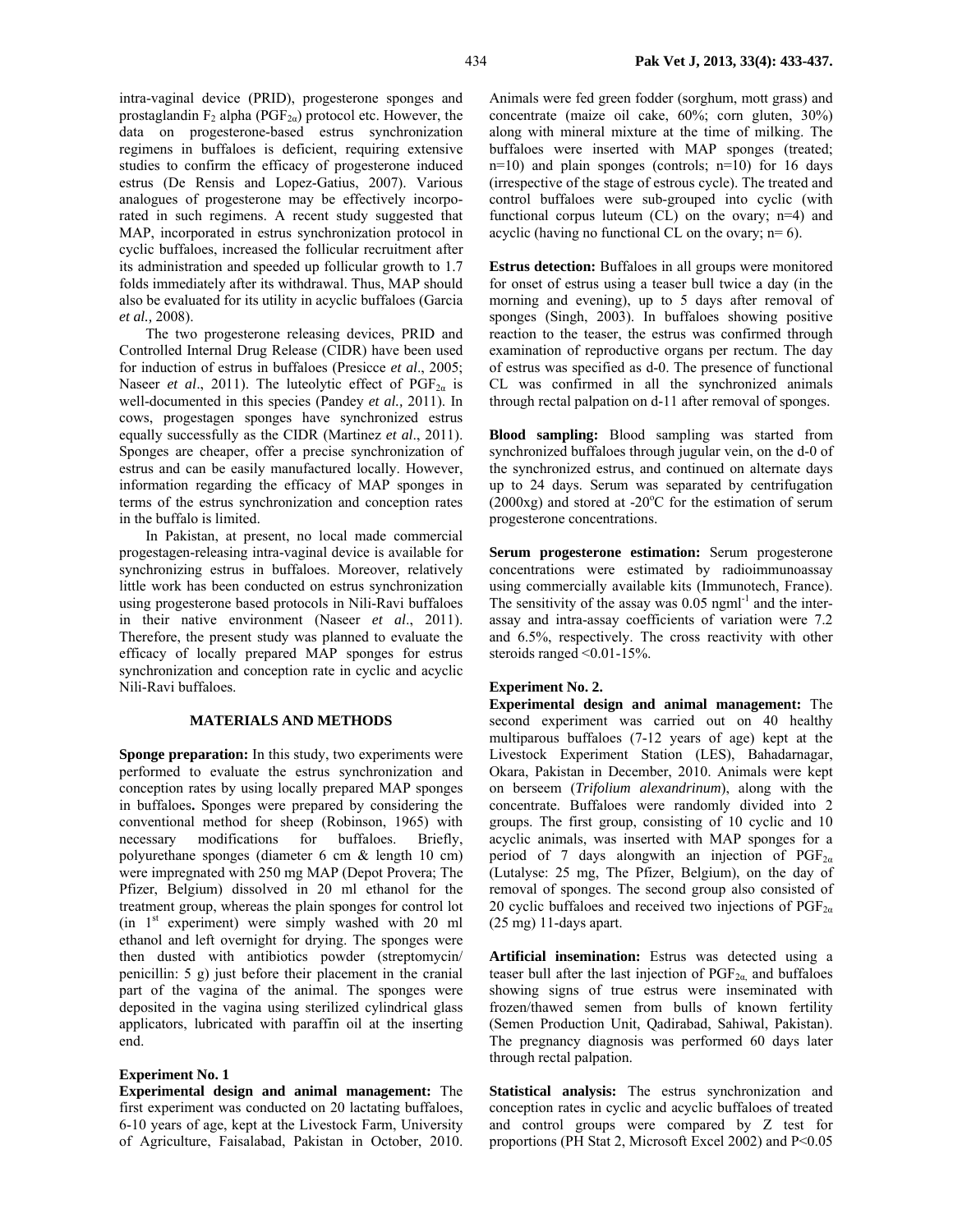intra-vaginal device (PRID), progesterone sponges and prostaglandin  $F_2$  alpha (PGF<sub>2α</sub>) protocol etc. However, the data on progesterone-based estrus synchronization regimens in buffaloes is deficient, requiring extensive studies to confirm the efficacy of progesterone induced estrus (De Rensis and Lopez-Gatius, 2007). Various analogues of progesterone may be effectively incorporated in such regimens. A recent study suggested that MAP, incorporated in estrus synchronization protocol in cyclic buffaloes, increased the follicular recruitment after its administration and speeded up follicular growth to 1.7 folds immediately after its withdrawal. Thus, MAP should also be evaluated for its utility in acyclic buffaloes (Garcia *et al.,* 2008).

The two progesterone releasing devices, PRID and Controlled Internal Drug Release (CIDR) have been used for induction of estrus in buffaloes (Presicce *et al*., 2005; Naseer *et al.*, 2011). The luteolytic effect of  $PGF_{2\alpha}$  is well-documented in this species (Pandey *et al.,* 2011). In cows, progestagen sponges have synchronized estrus equally successfully as the CIDR (Martinez *et al*., 2011). Sponges are cheaper, offer a precise synchronization of estrus and can be easily manufactured locally. However, information regarding the efficacy of MAP sponges in terms of the estrus synchronization and conception rates in the buffalo is limited.

In Pakistan, at present, no local made commercial progestagen-releasing intra-vaginal device is available for synchronizing estrus in buffaloes. Moreover, relatively little work has been conducted on estrus synchronization using progesterone based protocols in Nili-Ravi buffaloes in their native environment (Naseer *et al*., 2011). Therefore, the present study was planned to evaluate the efficacy of locally prepared MAP sponges for estrus synchronization and conception rate in cyclic and acyclic Nili-Ravi buffaloes.

# **MATERIALS AND METHODS**

**Sponge preparation:** In this study, two experiments were performed to evaluate the estrus synchronization and conception rates by using locally prepared MAP sponges in buffaloes**.** Sponges were prepared by considering the conventional method for sheep (Robinson, 1965) with necessary modifications for buffaloes. Briefly, polyurethane sponges (diameter 6 cm & length 10 cm) were impregnated with 250 mg MAP (Depot Provera; The Pfizer, Belgium) dissolved in 20 ml ethanol for the treatment group, whereas the plain sponges for control lot (in  $1<sup>st</sup>$  experiment) were simply washed with 20 ml ethanol and left overnight for drying. The sponges were then dusted with antibiotics powder (streptomycin/ penicillin: 5 g) just before their placement in the cranial part of the vagina of the animal. The sponges were deposited in the vagina using sterilized cylindrical glass applicators, lubricated with paraffin oil at the inserting end.

## **Experiment No. 1**

**Experimental design and animal management:** The first experiment was conducted on 20 lactating buffaloes, 6-10 years of age, kept at the Livestock Farm, University of Agriculture, Faisalabad, Pakistan in October, 2010.

Animals were fed green fodder (sorghum, mott grass) and concentrate (maize oil cake, 60%; corn gluten, 30%) along with mineral mixture at the time of milking. The buffaloes were inserted with MAP sponges (treated; n=10) and plain sponges (controls; n=10) for 16 days (irrespective of the stage of estrous cycle). The treated and control buffaloes were sub-grouped into cyclic (with functional corpus luteum (CL) on the ovary; n=4) and acyclic (having no functional CL on the ovary;  $n=6$ ).

**Estrus detection:** Buffaloes in all groups were monitored for onset of estrus using a teaser bull twice a day (in the morning and evening), up to 5 days after removal of sponges (Singh, 2003). In buffaloes showing positive reaction to the teaser, the estrus was confirmed through examination of reproductive organs per rectum. The day of estrus was specified as d-0. The presence of functional CL was confirmed in all the synchronized animals through rectal palpation on d-11 after removal of sponges.

**Blood sampling:** Blood sampling was started from synchronized buffaloes through jugular vein, on the d-0 of the synchronized estrus, and continued on alternate days up to 24 days. Serum was separated by centrifugation  $(2000x)$  and stored at -20 $^{\circ}$ C for the estimation of serum progesterone concentrations.

**Serum progesterone estimation:** Serum progesterone concentrations were estimated by radioimmunoassay using commercially available kits (Immunotech, France). The sensitivity of the assay was  $0.05$  ngm $l^{-1}$  and the interassay and intra-assay coefficients of variation were 7.2 and 6.5%, respectively. The cross reactivity with other steroids ranged <0.01-15%.

## **Experiment No. 2.**

**Experimental design and animal management:** The second experiment was carried out on 40 healthy multiparous buffaloes (7-12 years of age) kept at the Livestock Experiment Station (LES), Bahadarnagar, Okara, Pakistan in December, 2010. Animals were kept on berseem (*Trifolium alexandrinum*), along with the concentrate. Buffaloes were randomly divided into 2 groups. The first group, consisting of 10 cyclic and 10 acyclic animals, was inserted with MAP sponges for a period of 7 days alongwith an injection of  $PGF_{2\alpha}$ (Lutalyse: 25 mg, The Pfizer, Belgium), on the day of removal of sponges. The second group also consisted of 20 cyclic buffaloes and received two injections of  $PGF_{2\alpha}$ (25 mg) 11-days apart.

**Artificial insemination:** Estrus was detected using a teaser bull after the last injection of  $PGF_{2\alpha}$  and buffaloes showing signs of true estrus were inseminated with frozen/thawed semen from bulls of known fertility (Semen Production Unit, Qadirabad, Sahiwal, Pakistan). The pregnancy diagnosis was performed 60 days later through rectal palpation.

**Statistical analysis:** The estrus synchronization and conception rates in cyclic and acyclic buffaloes of treated and control groups were compared by Z test for proportions (PH Stat 2, Microsoft Excel 2002) and P<0.05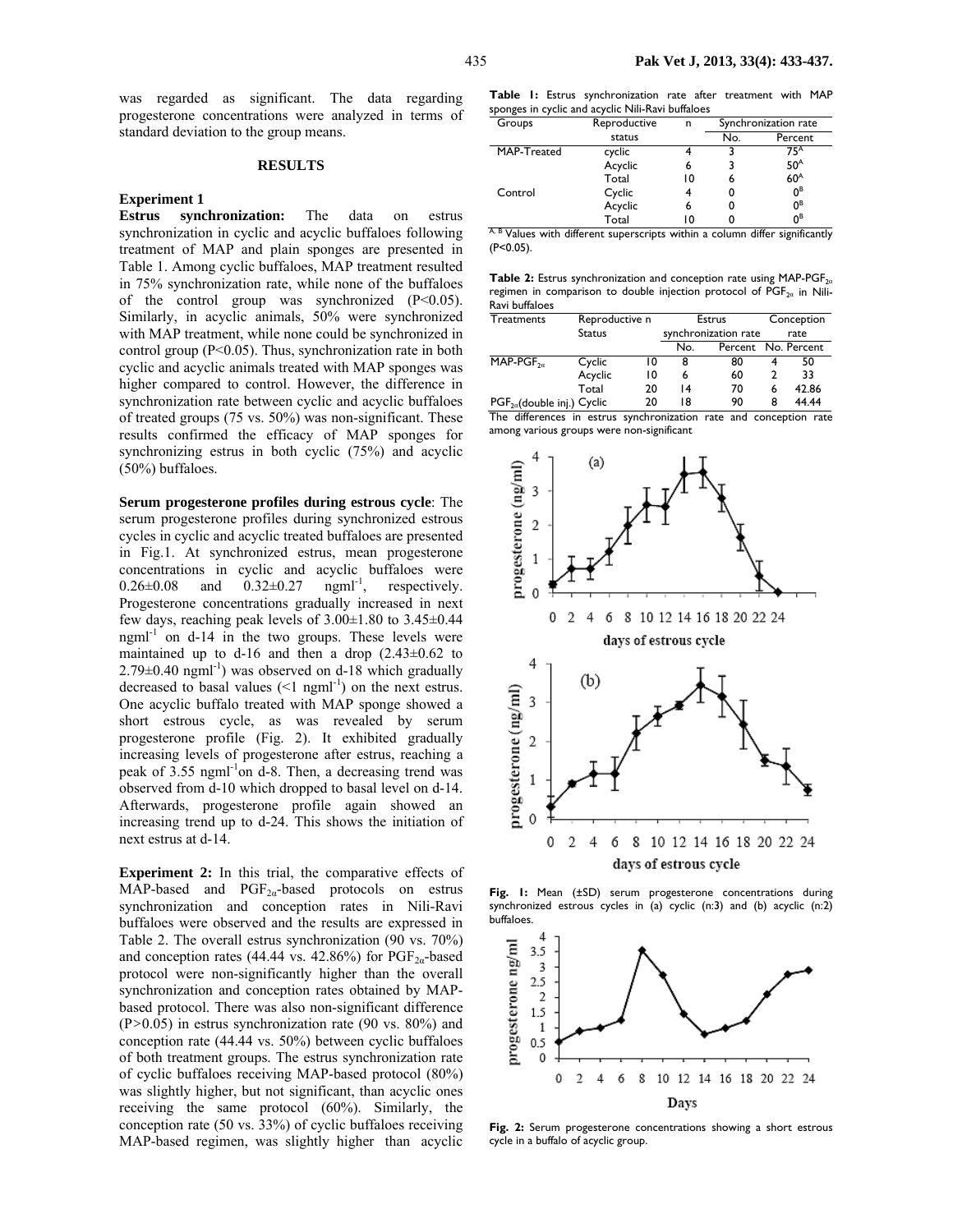was regarded as significant. The data regarding progesterone concentrations were analyzed in terms of standard deviation to the group means.

#### **RESULTS**

### **Experiment 1**

**Estrus synchronization:** The data on estrus synchronization in cyclic and acyclic buffaloes following treatment of MAP and plain sponges are presented in Table 1. Among cyclic buffaloes, MAP treatment resulted in 75% synchronization rate, while none of the buffaloes of the control group was synchronized  $(P<0.05)$ . Similarly, in acyclic animals, 50% were synchronized with MAP treatment, while none could be synchronized in control group (P<0.05). Thus, synchronization rate in both cyclic and acyclic animals treated with MAP sponges was higher compared to control. However, the difference in synchronization rate between cyclic and acyclic buffaloes of treated groups (75 vs. 50%) was non-significant. These results confirmed the efficacy of MAP sponges for synchronizing estrus in both cyclic (75%) and acyclic (50%) buffaloes.

**Serum progesterone profiles during estrous cycle**: The serum progesterone profiles during synchronized estrous cycles in cyclic and acyclic treated buffaloes are presented in Fig.1. At synchronized estrus, mean progesterone concentrations in cyclic and acyclic buffaloes were  $0.26 \pm 0.08$  and  $0.32 \pm 0.27$  ngml<sup>-1</sup>, respectively. Progesterone concentrations gradually increased in next few days, reaching peak levels of  $3.00\pm1.80$  to  $3.45\pm0.44$  $ng$ ml<sup>-1</sup> on d-14 in the two groups. These levels were maintained up to d-16 and then a drop  $(2.43\pm0.62)$  to  $2.79\pm0.40$  ngml<sup>-1</sup>) was observed on d-18 which gradually decreased to basal values  $(1$  ngml<sup>-1</sup>) on the next estrus. One acyclic buffalo treated with MAP sponge showed a short estrous cycle, as was revealed by serum progesterone profile (Fig. 2). It exhibited gradually increasing levels of progesterone after estrus, reaching a peak of 3.55 ngml-1on d-8. Then, a decreasing trend was observed from d-10 which dropped to basal level on d-14. Afterwards, progesterone profile again showed an increasing trend up to d-24. This shows the initiation of next estrus at d-14.

**Experiment 2:** In this trial, the comparative effects of MAP-based and  $PGF_{2\alpha}$ -based protocols on estrus synchronization and conception rates in Nili-Ravi buffaloes were observed and the results are expressed in Table 2. The overall estrus synchronization (90 vs. 70%) and conception rates (44.44 vs. 42.86%) for  $PGF_{2a}$ -based protocol were non-significantly higher than the overall synchronization and conception rates obtained by MAPbased protocol. There was also non-significant difference (P*>*0.05) in estrus synchronization rate (90 vs. 80%) and conception rate (44.44 vs. 50%) between cyclic buffaloes of both treatment groups. The estrus synchronization rate of cyclic buffaloes receiving MAP-based protocol (80%) was slightly higher, but not significant, than acyclic ones receiving the same protocol (60%). Similarly, the conception rate (50 vs. 33%) of cyclic buffaloes receiving MAP-based regimen, was slightly higher than acyclic

**Table 1:** Estrus synchronization rate after treatment with MAP sponges in cyclic and acyclic Nili-Ravi buffaloes

| Groups                                                        | Reproductive | n  | Synchronization rate |                                  |  |
|---------------------------------------------------------------|--------------|----|----------------------|----------------------------------|--|
|                                                               | status       |    | No.                  | Percent                          |  |
| MAP-Treated                                                   | cyclic       |    |                      | 75 <sup>A</sup>                  |  |
|                                                               | Acyclic      | 6  |                      | 50 <sup>A</sup>                  |  |
|                                                               | Total        | 10 |                      | 60 <sup>A</sup>                  |  |
| Control                                                       | Cyclic       |    |                      | $0^{\text{B}}$                   |  |
|                                                               | Acyclic      |    |                      | 0В                               |  |
|                                                               | Total        | 10 |                      | 0 <sup>B</sup>                   |  |
| $\overline{A}$ R $\overline{A}$ $\overline{A}$<br>1.00<br>. . |              | .  |                      | 1.00<br>$\overline{\phantom{a}}$ |  |

<sup>A, B</sup> Values with different superscripts within a column differ significantly (P<0.05).

**Table 2:** Estrus synchronization and conception rate using MAP-PGF<sub>2α</sub> regimen in comparison to double injection protocol of  $PGF_{2\alpha}$  in Nili-Ravi buffaloes

| Treatments                      | Reproductive n |    | Estrus               |                     | Conception |       |
|---------------------------------|----------------|----|----------------------|---------------------|------------|-------|
|                                 | <b>Status</b>  |    | synchronization rate |                     | rate       |       |
|                                 |                |    | No.                  | Percent No. Percent |            |       |
| $MAP-PGF20$                     | Cyclic         | 10 | 8                    | 80                  | 4          | 50    |
|                                 | Acyclic        | 10 | 6                    | 60                  | 2          | 33    |
|                                 | Total          | 20 | 14                   | 70                  | 6          | 42.86 |
| $PGF_{2a}$ (double inj.) Cyclic |                | 20 | 18                   | 90                  | 8          | 44.44 |

The differences in estrus synchronization rate and conception rate among various groups were non-significant



**Fig. 1:** Mean (±SD) serum progesterone concentrations during synchronized estrous cycles in (a) cyclic (n:3) and (b) acyclic (n:2) buffaloes.



**Fig. 2:** Serum progesterone concentrations showing a short estrous cycle in a buffalo of acyclic group.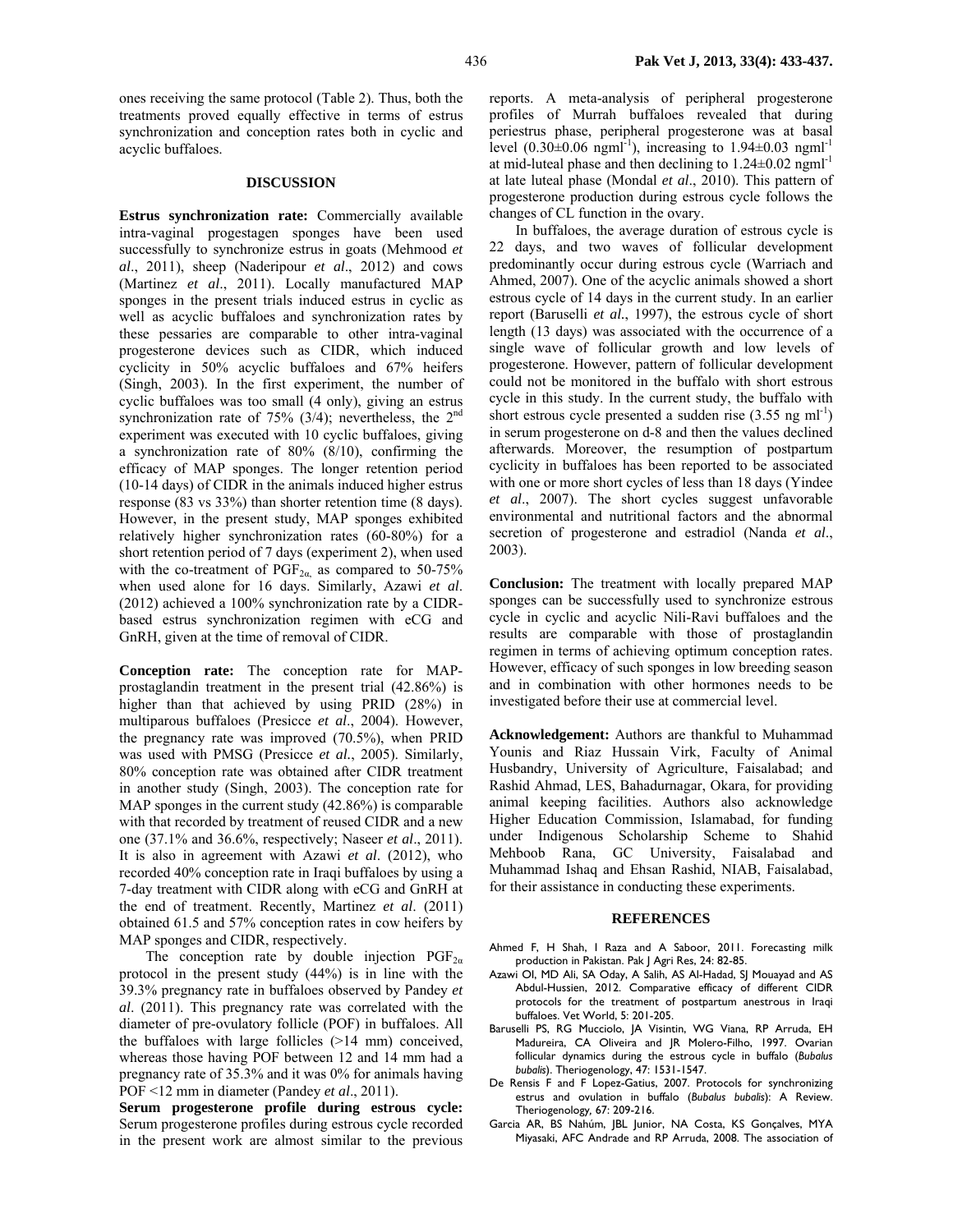ones receiving the same protocol (Table 2). Thus, both the treatments proved equally effective in terms of estrus synchronization and conception rates both in cyclic and acyclic buffaloes.

#### **DISCUSSION**

**Estrus synchronization rate:** Commercially available intra-vaginal progestagen sponges have been used successfully to synchronize estrus in goats (Mehmood *et al*., 2011), sheep (Naderipour *et al*., 2012) and cows (Martinez *et al*., 2011). Locally manufactured MAP sponges in the present trials induced estrus in cyclic as well as acyclic buffaloes and synchronization rates by these pessaries are comparable to other intra-vaginal progesterone devices such as CIDR, which induced cyclicity in 50% acyclic buffaloes and 67% heifers (Singh, 2003). In the first experiment, the number of cyclic buffaloes was too small (4 only), giving an estrus synchronization rate of 75% (3/4); nevertheless, the 2nd experiment was executed with 10 cyclic buffaloes, giving a synchronization rate of 80% (8/10), confirming the efficacy of MAP sponges. The longer retention period (10-14 days) of CIDR in the animals induced higher estrus response (83 vs 33%) than shorter retention time (8 days). However, in the present study, MAP sponges exhibited relatively higher synchronization rates (60-80%) for a short retention period of 7 days (experiment 2), when used with the co-treatment of  $PGF_{2\alpha}$  as compared to 50-75% when used alone for 16 days. Similarly, Azawi *et al*. (2012) achieved a 100% synchronization rate by a CIDRbased estrus synchronization regimen with eCG and GnRH, given at the time of removal of CIDR.

**Conception rate:** The conception rate for MAPprostaglandin treatment in the present trial (42.86%) is higher than that achieved by using PRID (28%) in multiparous buffaloes (Presicce *et al*., 2004). However, the pregnancy rate was improved (70.5%), when PRID was used with PMSG (Presicce *et al.*, 2005). Similarly, 80% conception rate was obtained after CIDR treatment in another study (Singh, 2003). The conception rate for MAP sponges in the current study (42.86%) is comparable with that recorded by treatment of reused CIDR and a new one (37.1% and 36.6%, respectively; Naseer *et al*., 2011). It is also in agreement with Azawi *et al*. (2012), who recorded 40% conception rate in Iraqi buffaloes by using a 7-day treatment with CIDR along with eCG and GnRH at the end of treatment. Recently, Martinez *et al*. (2011) obtained 61.5 and 57% conception rates in cow heifers by MAP sponges and CIDR, respectively.

The conception rate by double injection  $PGF_{2\alpha}$ protocol in the present study (44%) is in line with the 39.3% pregnancy rate in buffaloes observed by Pandey *et al*. (2011). This pregnancy rate was correlated with the diameter of pre-ovulatory follicle (POF) in buffaloes. All the buffaloes with large follicles (>14 mm) conceived, whereas those having POF between 12 and 14 mm had a pregnancy rate of 35.3% and it was 0% for animals having POF <12 mm in diameter (Pandey *et al*., 2011).

**Serum progesterone profile during estrous cycle:** Serum progesterone profiles during estrous cycle recorded in the present work are almost similar to the previous reports. A meta-analysis of peripheral progesterone profiles of Murrah buffaloes revealed that during periestrus phase, peripheral progesterone was at basal level  $(0.30\pm0.06 \text{ ngml}^{-1})$ , increasing to  $1.94\pm0.03 \text{ ngml}^{-1}$ at mid-luteal phase and then declining to 1.24±0.02 ngml-1 at late luteal phase (Mondal *et al*., 2010). This pattern of progesterone production during estrous cycle follows the changes of CL function in the ovary.

In buffaloes, the average duration of estrous cycle is 22 days, and two waves of follicular development predominantly occur during estrous cycle (Warriach and Ahmed, 2007). One of the acyclic animals showed a short estrous cycle of 14 days in the current study. In an earlier report (Baruselli *et al.*, 1997), the estrous cycle of short length (13 days) was associated with the occurrence of a single wave of follicular growth and low levels of progesterone. However, pattern of follicular development could not be monitored in the buffalo with short estrous cycle in this study. In the current study, the buffalo with short estrous cycle presented a sudden rise  $(3.55 \text{ ng ml}^{-1})$ in serum progesterone on d-8 and then the values declined afterwards. Moreover, the resumption of postpartum cyclicity in buffaloes has been reported to be associated with one or more short cycles of less than 18 days (Yindee *et al*., 2007). The short cycles suggest unfavorable environmental and nutritional factors and the abnormal secretion of progesterone and estradiol (Nanda *et al*., 2003).

**Conclusion:** The treatment with locally prepared MAP sponges can be successfully used to synchronize estrous cycle in cyclic and acyclic Nili-Ravi buffaloes and the results are comparable with those of prostaglandin regimen in terms of achieving optimum conception rates. However, efficacy of such sponges in low breeding season and in combination with other hormones needs to be investigated before their use at commercial level.

**Acknowledgement:** Authors are thankful to Muhammad Younis and Riaz Hussain Virk, Faculty of Animal Husbandry, University of Agriculture, Faisalabad; and Rashid Ahmad, LES, Bahadurnagar, Okara, for providing animal keeping facilities. Authors also acknowledge Higher Education Commission, Islamabad, for funding under Indigenous Scholarship Scheme to Shahid Mehboob Rana, GC University, Faisalabad and Muhammad Ishaq and Ehsan Rashid, NIAB, Faisalabad, for their assistance in conducting these experiments.

#### **REFERENCES**

- Ahmed F, H Shah, I Raza and A Saboor, 2011. Forecasting milk production in Pakistan. Pak | Agri Res, 24: 82-85.
- Azawi OI, MD Ali, SA Oday, A Salih, AS Al-Hadad, SJ Mouayad and AS Abdul-Hussien, 2012. Comparative efficacy of different CIDR protocols for the treatment of postpartum anestrous in Iraqi buffaloes. Vet World, 5: 201-205.
- Baruselli PS, RG Mucciolo, JA Visintin, WG Viana, RP Arruda, EH Madureira, CA Oliveira and JR Molero-Filho, 1997. Ovarian follicular dynamics during the estrous cycle in buffalo (*Bubalus bubalis*). Theriogenology, 47: 1531-1547.
- De Rensis F and F Lopez-Gatius, 2007. Protocols for synchronizing estrus and ovulation in buffalo (*Bubalus bubalis*): A Review. Theriogenology*,* 67: 209-216.
- Garcia AR, BS Nahúm, JBL Junior, NA Costa, KS Gonçalves, MYA Miyasaki, AFC Andrade and RP Arruda, 2008. The association of